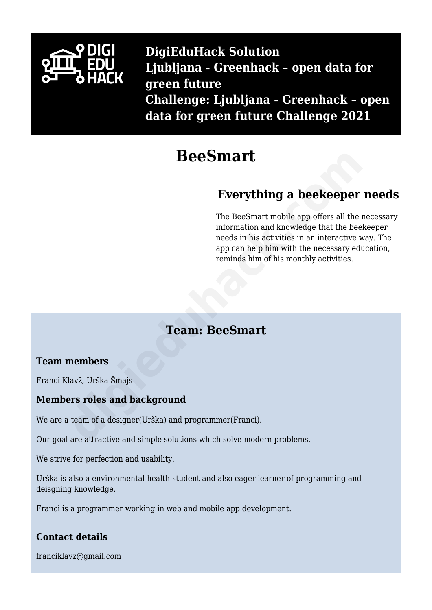

**DigiEduHack Solution Ljubljana - Greenhack – open data for green future Challenge: Ljubljana - Greenhack – open data for green future Challenge 2021**

# **BeeSmart**

# **Everything a beekeeper needs**

The BeeSmart mobile app offers all the necessary information and knowledge that the beekeeper needs in his activities in an interactive way. The app can help him with the necessary education, reminds him of his monthly activities. **BeeSmart**<br> **Everything a beekeeper**<br>
The BeeSmart mobile app offers all the information and knowledge that the bee<br>
information and knowledge that the bee<br>
app can help him with the necessary ed<br>
reminds him of his monthl

# **Team: BeeSmart**

# **Team members**

Franci Klavž, Urška Šmajs

# **Members roles and background**

We are a team of a designer(Urška) and programmer(Franci).

Our goal are attractive and simple solutions which solve modern problems.

We strive for perfection and usability.

Urška is also a environmental health student and also eager learner of programming and deisgning knowledge.

Franci is a programmer working in web and mobile app development.

# **Contact details**

franciklavz@gmail.com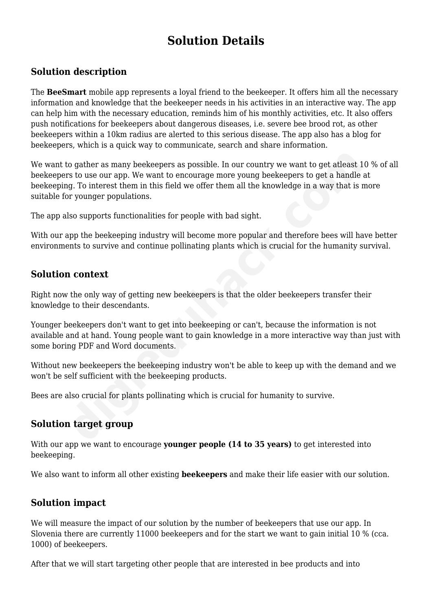# **Solution Details**

# **Solution description**

The **BeeSmart** mobile app represents a loyal friend to the beekeeper. It offers him all the necessary information and knowledge that the beekeeper needs in his activities in an interactive way. The app can help him with the necessary education, reminds him of his monthly activities, etc. It also offers push notifications for beekeepers about dangerous diseases, i.e. severe bee brood rot, as other beekeepers within a 10km radius are alerted to this serious disease. The app also has a blog for beekeepers, which is a quick way to communicate, search and share information.

We want to gather as many beekeepers as possible. In our country we want to get at least 10 % of all beekeepers to use our app. We want to encourage more young beekeepers to get a handle at beekeeping. To interest them in this field we offer them all the knowledge in a way that is more suitable for younger populations. to gather as many beekeepers as possible. In our country we want to get alleast and the state of the state of the many beekeepers as possible. In our country we want to get a handle fig. To interest them in this field we o

The app also supports functionalities for people with bad sight.

With our app the beekeeping industry will become more popular and therefore bees will have better environments to survive and continue pollinating plants which is crucial for the humanity survival.

#### **Solution context**

Right now the only way of getting new beekeepers is that the older beekeepers transfer their knowledge to their descendants.

Younger beekeepers don't want to get into beekeeping or can't, because the information is not available and at hand. Young people want to gain knowledge in a more interactive way than just with some boring PDF and Word documents.

Without new beekeepers the beekeeping industry won't be able to keep up with the demand and we won't be self sufficient with the beekeeping products.

Bees are also crucial for plants pollinating which is crucial for humanity to survive.

#### **Solution target group**

With our app we want to encourage **younger people (14 to 35 years)** to get interested into beekeeping.

We also want to inform all other existing **beekeepers** and make their life easier with our solution.

#### **Solution impact**

We will measure the impact of our solution by the number of beekeepers that use our app. In Slovenia there are currently 11000 beekeepers and for the start we want to gain initial 10 % (cca. 1000) of beekeepers.

After that we will start targeting other people that are interested in bee products and into